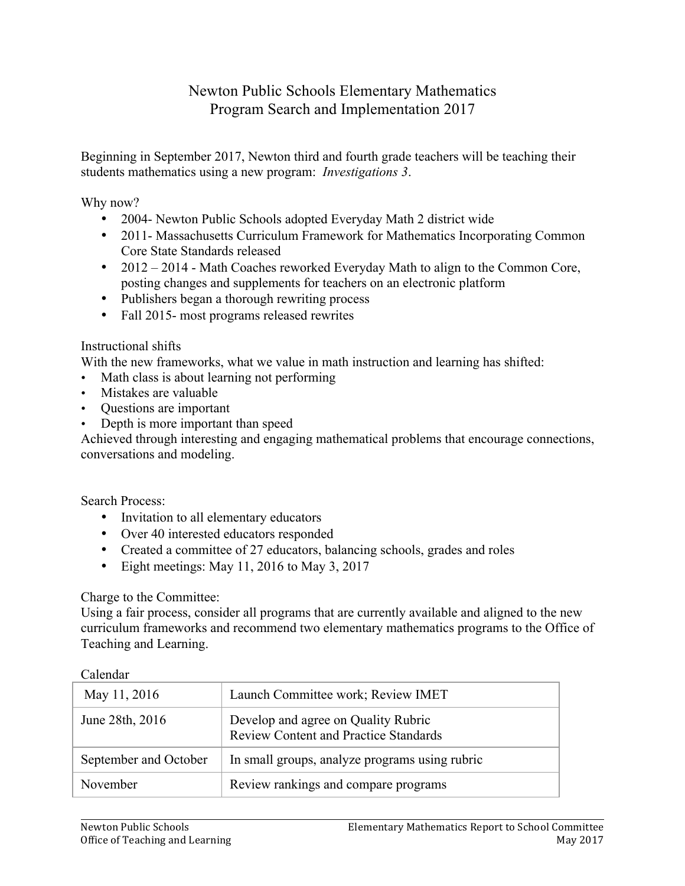# Newton Public Schools Elementary Mathematics Program Search and Implementation 2017

Beginning in September 2017, Newton third and fourth grade teachers will be teaching their students mathematics using a new program: *Investigations 3*.

Why now?

- 2004- Newton Public Schools adopted Everyday Math 2 district wide
- 2011- Massachusetts Curriculum Framework for Mathematics Incorporating Common Core State Standards released
- 2012 2014 Math Coaches reworked Everyday Math to align to the Common Core, posting changes and supplements for teachers on an electronic platform
- Publishers began a thorough rewriting process
- Fall 2015- most programs released rewrites

# Instructional shifts

With the new frameworks, what we value in math instruction and learning has shifted:

- Math class is about learning not performing
- Mistakes are valuable
- Questions are important
- Depth is more important than speed

Achieved through interesting and engaging mathematical problems that encourage connections, conversations and modeling.

Search Process:

- Invitation to all elementary educators
- Over 40 interested educators responded
- Created a committee of 27 educators, balancing schools, grades and roles
- Eight meetings: May 11, 2016 to May 3, 2017

# Charge to the Committee:

Using a fair process, consider all programs that are currently available and aligned to the new curriculum frameworks and recommend two elementary mathematics programs to the Office of Teaching and Learning.

| <b>Calculat</b>       |                                                                                     |
|-----------------------|-------------------------------------------------------------------------------------|
| May 11, 2016          | Launch Committee work; Review IMET                                                  |
| June 28th, 2016       | Develop and agree on Quality Rubric<br><b>Review Content and Practice Standards</b> |
| September and October | In small groups, analyze programs using rubric                                      |
| November              | Review rankings and compare programs                                                |

# Calendar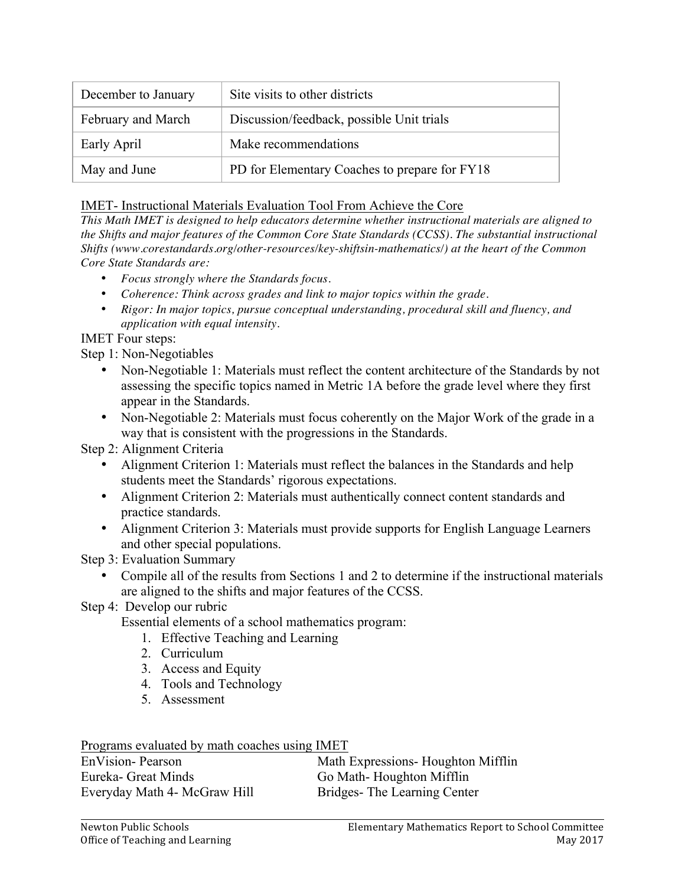| December to January | Site visits to other districts                |
|---------------------|-----------------------------------------------|
| February and March  | Discussion/feedback, possible Unit trials     |
| Early April         | Make recommendations                          |
| May and June        | PD for Elementary Coaches to prepare for FY18 |

# IMET- Instructional Materials Evaluation Tool From Achieve the Core

*This Math IMET is designed to help educators determine whether instructional materials are aligned to the Shifts and major features of the Common Core State Standards (CCSS). The substantial instructional Shifts (www.corestandards.org/other-resources/key-shiftsin-mathematics/) at the heart of the Common Core State Standards are:*

- *Focus strongly where the Standards focus.*
- *Coherence: Think across grades and link to major topics within the grade.*
- *Rigor: In major topics, pursue conceptual understanding, procedural skill and fluency, and application with equal intensity.*

IMET Four steps:

Step 1: Non-Negotiables

- Non-Negotiable 1: Materials must reflect the content architecture of the Standards by not assessing the specific topics named in Metric 1A before the grade level where they first appear in the Standards.
- Non-Negotiable 2: Materials must focus coherently on the Major Work of the grade in a way that is consistent with the progressions in the Standards.

Step 2: Alignment Criteria

- Alignment Criterion 1: Materials must reflect the balances in the Standards and help students meet the Standards' rigorous expectations.
- Alignment Criterion 2: Materials must authentically connect content standards and practice standards.
- Alignment Criterion 3: Materials must provide supports for English Language Learners and other special populations.

Step 3: Evaluation Summary

- Compile all of the results from Sections 1 and 2 to determine if the instructional materials are aligned to the shifts and major features of the CCSS.
- Step 4: Develop our rubric

Essential elements of a school mathematics program:

- 1. Effective Teaching and Learning
- 2. Curriculum
- 3. Access and Equity
- 4. Tools and Technology
- 5. Assessment

Programs evaluated by math coaches using IMET

| EnVision-Pearson             | Math Expressions- Houghton Mifflin |
|------------------------------|------------------------------------|
| Eureka- Great Minds          | Go Math-Houghton Mifflin           |
| Everyday Math 4- McGraw Hill | Bridges-The Learning Center        |